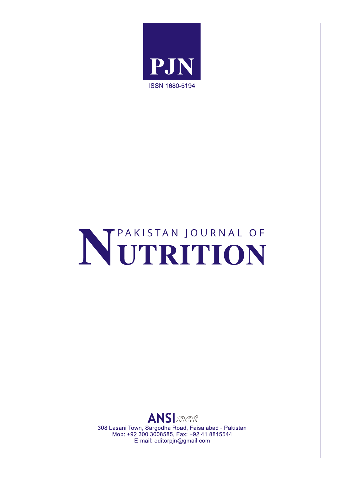

# NETRITION



308 Lasani Town, Sargodha Road, Faisalabad - Pakistan Mob: +92 300 3008585, Fax: +92 41 8815544 E-mail: editorpjn@gmail.com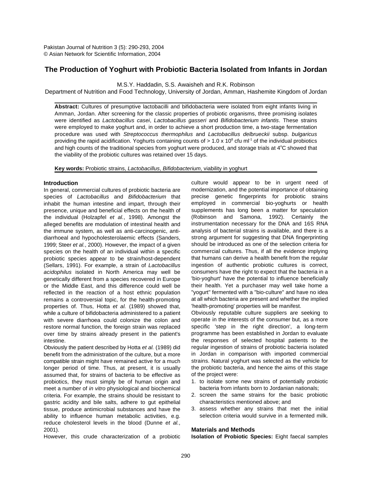# **The Production of Yoghurt with Probiotic Bacteria Isolated from Infants in Jordan**

M.S.Y. Haddadin, S.S. Awaisheh and R.K. Robinson

Department of Nutrition and Food Technology, University of Jordan, Amman, Hashemite Kingdom of Jordan

**Abstract:** Cultures of presumptive lactobacilli and bifidobacteria were isolated from eight infants living in Amman, Jordan. After screening for the classic properties of probiotic organisms, three promising isolates were identified as *Lactobacillus casei*, *Lactobacillus gasseri* and *Bifidobacterium infantis*. These strains were employed to make yoghurt and, in order to achieve a short production time, a two-stage fermentation procedure was used with *Streptococcus thermophilus* and *Lactobacillus delbrueckii* subsp. *bulgaricus* providing the rapid acidification. Yoghurts containing counts of  $> 1.0 \times 10^8$  cfu ml<sup>-1</sup> of the individual probiotics and high counts of the traditional species from yoghurt were produced, and storage trials at  $4^{\circ}$ C showed that the viability of the probiotic cultures was retained over 15 days.

**Key words:** Probiotic strains, *Lactobacillus*, *Bifidobacterium*, viability in yoghurt

# **Introduction**

In general, commercial cultures of probiotic bacteria are species of *Lactobacillus* and *Bifidobacterium* that inhabit the human intestine and impart, through their presence, unique and beneficial effects on the health of the individual (Holzapfel *et al.*, 1998). Amongst the alleged benefits are modulation of intestinal health and the immune system, as well as anti-carcinogenic, antidiarrhoeal and hypocholesterolaemic effects (Sanders, 1999; Steer *et al.*, 2000). However, the impact of a given species on the health of an individual within a specific probiotic species appear to be strain/host-dependent (Sellars, 1991). For example, a strain of *Lactobacillus acidophilus* isolated in North America may well be genetically different from a species recovered in Europe or the Middle East, and this difference could well be reflected in the reaction of a host ethnic population remains a controversial topic, for the health-promoting properties of. Thus, Hotta *et al.* (1989) showed that, while a culture of bifidobacteria administered to a patient with severe diarrhoea could colonize the colon and restore normal function, the foreign strain was replaced over time by strains already present in the patient's intestine.

Obviously the patient described by Hotta *et al.* (1989) did benefit from the administration of the culture, but a more compatible strain might have remained active for a much longer period of time. Thus, at present, it is usually assumed that, for strains of bacteria to be effective as probiotics, they must simply be of human origin and meet a number of *in vitro* physiological and biochemical criteria. For example, the strains should be resistant to gastric acidity and bile salts, adhere to gut epithelial tissue, produce antimicrobial substances and have the ability to influence human metabolic activities, e.g. reduce cholesterol levels in the blood (Dunne *et al.*, 2001). **Materials and Methods**

However, this crude characterization of a probiotic **Isolation of Probiotic Species:** Eight faecal samples

culture would appear to be in urgent need of modernization, and the potential importance of obtaining precise genetic fingerprints for probiotic strains employed in commercial bio-yoghurts or health supplements has long been a matter for speculation (Robinson and Samona, 1992). Certainly the instrumentation necessary for the DNA and 16S RNA analysis of bacterial strains is available, and there is a strong argument for suggesting that DNA fingerprinting should be introduced as one of the selection criteria for commercial cultures. Thus, if all the evidence implying that humans can derive a health benefit from the regular ingestion of authentic probiotic cultures is correct, consumers have the right to expect that the bacteria in a 'bio-yoghurt' have the potential to influence beneficially their health. Yet a purchaser may well take home a "yogurt" fermented with a "bio-culture" and have no idea at all which bacteria are present and whether the implied 'health-promoting' properties will be manifest.

Obviously reputable culture suppliers are seeking to operate in the interests of the consumer but, as a more specific 'step in the right direction', a long-term programme has been established in Jordan to evaluate the responses of selected hospital patients to the regular ingestion of strains of probiotic bacteria isolated in Jordan in comparison with imported commercial strains. Natural yoghurt was selected as the vehicle for the probiotic bacteria, and hence the aims of this stage of the project were:

- 1. to isolate some new strains of potentially probiotic bacteria from infants born to Jordanian nationals;
- 2. screen the same strains for the basic probiotic characteristics mentioned above; and
- 3. assess whether any strains that met the initial selection criteria would survive in a fermented milk.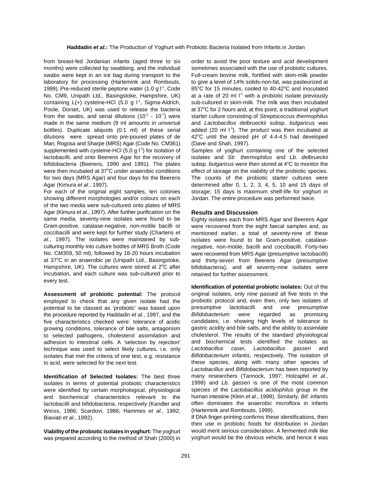from breast-fed Jordanian infants (aged three to six order to avoid the poor texture and acid development months) were collected by swabbing, and the individual sometimes associated with the use of probiotic cultures. swabs were kept in an ice bag during transport to the Full-cream bovine milk, fortified with skim-milk powder laboratory for processing (Hartemink and Rombouts, to give a level of 14% solids-non-fat, was pasteurized at 1999). Pre-reduced sterile peptone water (1.0 g  $1^1$ , Code 85°C for 15 minutes, cooled to 40-42°C and inoculated 1999). Pre-reduced sterile peptone water (1.0 g l<sup>-1</sup>, Code No. CM9, Unipath Ltd., Basingstoke, Hampshire, UK) at a rate of 20 ml l<sup>-1</sup> with a probiotic isolate previously containing  $L(+)$  cysteine-HCl (5.0 g  $L^1$ , Sigma-Aldrich, Poole, Dorset, UK) was used to release the bacteria at 37°C for 2 hours and, at this point, a traditional yoghurt from the swabs, and serial dilutions  $(10^{-1} - 10^{-7})$  were made in the same medium (9 ml amounts in universal and *Lactobacillus delbrueckii* subsp. *bulgaricus* was bottles). Duplicate aliquots (0.1 ml) of these serial added (20 ml  $\Gamma$ <sup>1</sup>). The product was then incubated at dilutions were spread onto pre-poured plates of de Man, Rogosa and Sharpe (MRS) Agar (Code No. CM361) (Dave and Shah, 1997). supplemented with cysteine-HCl (5.0 g l<sup>-1</sup>) for isolation of lactobacilli, and onto Beerens Agar for the recovery of isolates and *Str. thermophilus* and *Lb. delbrueckii* bifidobacteria (Beerens, 1990 and 1991). The plates subsp. *bulgaricus* were then stored at 4°C to monitor the were then incubated at 37°C under anaerobic conditions effect of storage on the viability of the probiotic species. for two days (MRS Agar) and four days for the Beerens The counts of the probiotic starter cultures were Agar (Kimura *et al.*, 1997). determined after 0, 1, 2, 3, 4, 5, 10 and 15 days of

showing different morphologies and/or colours on each Jordan. The entire procedure was performed twice. of the two media were sub-cultured onto plates of MRS Agar (Kimura *et al.*, 1997). After further purification on the same media, seventy-nine isolates were found to be Gram-positive, catalase-negative, non-motile bacilli or coccibacilli and were kept for further study (Charteris *et al.*, 1997). The isolates were maintained by subculturing monthly into culture bottles of MRS Broth (Code No. CM359, 50 ml), followed by 18-20 hours incubation at 37°C in an anaerobic jar (Unipath Ltd., Basingstoke, Hampshire, UK). The cultures were stored at 2°C after incubation, and each culture was sub-cultured prior to every test.

**Assessment of probiotic potential:** The protocol employed to check that any given isolate had the potential to be classed as 'probiotic' was based upon the procedure reported by Haddadin *et al.*, 1997, and the five characteristics checked were: tolerance of acidic growing conditions, tolerance of bile salts, antagonism to selected pathogens, cholesterol assimilation and adhesion to intestinal cells. A 'selection by rejection' technique was used to select likely cultures, i.e. only isolates that met the criteria of one test, e.g. resistance to acid, were selected for the next test.

**Identification of Selected Isolates:** The best three isolates in terms of potential probiotic characteristics were identified by certain morphological, physiological and biochemical characteristics relevant to the lactobacilli and bifidobacteria, respectively (Kandler and Weiss, 1986; Scardovi, 1986; Hammes *et al.*, 1992; Biaviati *et al.*, 1992).

**Viability of the probiotic isolates in yoghurt:** The yoghurt was prepared according to the method of Shah (2000) in

sub-cultured in skim-milk. The milk was then incubated starter culture consisting of *Streptococcus thermophilus* 42°C until the desired pH of 4.4-4.5 had developed

Samples of yoghurt containing one of the selected For each of the original eight samples, ten colonies storage; 15 days is maximum shelf-life for yoghurt in

# **Results and Discussion**

Eighty isolates each from MRS Agar and Beerens Agar were recovered from the eight faecal samples and, as mentioned earlier, a total of seventy-nine of these isolates were found to be Gram-positive, catalasenegative, non-motile, bacilli and coccibacilli. Forty-two were recovered from MRS Agar (presumptive lactobacilli) and thirty-seven from Beerens Agar (presumptive bifidobacteria), and all seventy-nine isolates were retained for further assessment.

**Identification of potential probiotic isolates:** Out of the original isolates, only nine passed all five tests in the probiotic protocol and, even then, only two isolates of presumptive lactobacilli and one presumptive *Bifidobacterium* were regarded as promising candidates; i.e. showing high levels of tolerance to gastric acidity and bile salts, and the ability to assimilate cholesterol. The results of the standard physiological and biochemical tests identified the isolates as *Lactobacillus casei*, *Lactobacillus gasseri* and *Bifidobacterium infantis*, respectively. The isolation of these species, along with many other species of *Lactobacillus* and *Bifidobacterium* has been reported by many researchers (Tannock, 1997; Holzapfel *et al.*, 1998) and *Lb. gasseri* is one of the most common species of the *Lactobacillus acidophilus* group in the human intestine (Klein *et al.*, 1998). Similarly, *Bif. infantis* often dominates the anaerobic microflora in infants (Hartemink and Rombouts, 1999).

If DNA finger-printing confirms these identifications, then their use in probiotic foods for distribution in Jordan would merit serious consideration. A fermented milk like yoghurt would be the obvious vehicle, and hence it was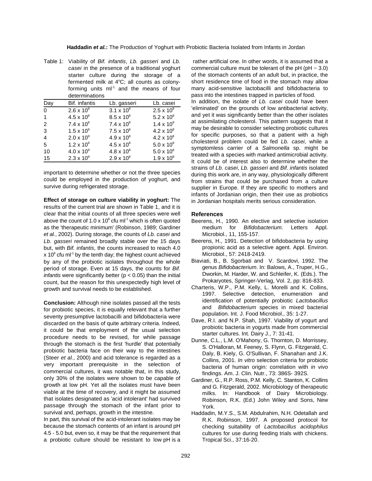**Haddadin** *et al.***:** The Production of Yoghurt with Probiotic Bacteria Isolated from Infants in Jordan

*casei* in the presence of a traditional yoghurt starter culture during the storage of a fermented milk at 4°C; all counts as colonyforming units ml $1$  and the means of four determinations

|                | uvuunnuuvuv         |                     |                     |
|----------------|---------------------|---------------------|---------------------|
| Day            | Bif. infantis       | Lb. gasseri         | Lb. casei           |
| $\mathbf 0$    | $2.6 \times 10^{8}$ | $3.1 \times 10^{8}$ | $2.5 \times 10^{8}$ |
| 1              | $4.5 \times 10^{8}$ | $8.5 \times 10^{8}$ | 5.2 x $10^8$        |
| $\overline{2}$ | $7.4 \times 10^8$   | $7.4 \times 10^8$   | $1.4 \times 10^{9}$ |
| 3              | $1.5 \times 10^{9}$ | $7.5 \times 10^{8}$ | $4.2 \times 10^{8}$ |
| 4              | $2.0 \times 10^{9}$ | $4.9 \times 10^{8}$ | $4.2 \times 10^{8}$ |
| 5              | $1.2 \times 10^{9}$ | $4.5 \times 10^{8}$ | $5.0 \times 10^{8}$ |
| 10             | $4.0 \times 10^{9}$ | $4.8 \times 10^{8}$ | $5.0 \times 10^{8}$ |
| 15             | $2.3 \times 10^{9}$ | $2.9 \times 10^{8}$ | $1.9 \times 10^{8}$ |

important to determine whether or not the three species could be employed in the production of yoghurt, and survive during refrigerated storage.

**Effect of storage on culture viability in yoghurt:** The results of the current trial are shown in Table 1, and it is clear that the initial counts of all three species were well above the count of 1.0 x  $10^6$  cfu ml<sup>-1</sup> which is often quoted as the 'therapeutic minimum' (Robinson, 1989; Gardiner *et al.*, 2002). During storage, the counts of *Lb. casei* and *Lb. gasseri* remained broadly stable over the 15 days but, with *Bif. infantis*, the counts increased to reach 4.0  $\times$  10 $^{\circ}$  cfu ml<sup>-1</sup> by the tenth day; the highest count achieved by any of the probiotic isolates throughout the whole period of storage. Even at 15 days, the counts for *Bif. infantis* were significantly better ( $p < 0.05$ ) than the initial count, but the reason for this unexpectedly high level of growth and survival needs to be established.

**Conclusion:** Although nine isolates passed all the tests for probiotic species, it is equally relevant that a further seventy presumptive lactobacilli and bifidobacteria were discarded on the basis of quite arbitrary criteria. Indeed, it could be that employment of the usual selection procedure needs to be revised, for while passage through the stomach is the first 'hurdle' that potentially probiotic bacteria face on their way to the intestines (Steer *et al.*, 2000) and acid tolerance is regarded as a very important prerequisite in the selection of commercial cultures, it was notable that, in this study, only 30% of the isolates were shown to be capable of growth at low pH. Yet all the isolates must have been viable at the time of recovery, and it might be assumed that isolates designated as 'acid intolerant' had survived passage through the stomach of the infant prior to survival and, perhaps, growth in the intestine.

In part, this survival of the acid-intolerant isolates may be because the stomach contents of an infant is around pH 4.5 - 5.0 but, even so, it may be that the requirement that a probiotic culture should be resistant to low pH is a Tropical Sci., 37:16-20.

Table 1: Viability of *Bif. infantis*, *Lb. gasseri* and *Lb.* rather artificial one. In other words, it is assumed that a commercial culture must be tolerant of the pH (pH  $\sim$  3.0) of the stomach contents of an adult but, in practice, the short residence time of food in the stomach may allow many acid-sensitive lactobacilli and bifidobacteria to pass into the intestines trapped in particles of food.

In addition, the isolate of *Lb. casei* could have been 'eliminated' on the grounds of low antibacterial activity, and yet it was significantly better than the other isolates at assimilating cholesterol. This pattern suggests that it may be desirable to consider selecting probiotic cultures for specific purposes, so that a patient with a high cholesterol problem could be fed *Lb. casei*, while a symptomless carrier of a *Salmonella* sp. might be treated with a species with marked antimicrobial activity. It could be of interest also to determine whether the strains of *Lb. casei*, *Lb. gasseri* and *Bif. infantis* isolated during this work are, in any way, physiologically different from strains that could be purchased from a culture supplier in Europe. If they are specific to mothers and infants of Jordanian origin, then their use as probiotics in Jordanian hospitals merits serious consideration.

# **References**

- Beerens, H., 1990. An elective and selective isolation medium for *Bifidobacterium*. Letters Appl. Microbiol., 11, 155-157.
- Beerens, H., 1991. Detection of bifidobacteria by using propionic acid as a selective agent. Appl. Environ. Microbiol., 57: 2418-2419.
- Biaviati, B., B. Sgorbati and V. Scardovi, 1992. The genus *Bifidobacterium*. In: Balows, A., Truper, H.G., Dworkin, M. Harder, W. and Schleifer, K. (Eds.). The Prokaryotes, Springer-Verlag, Vol. 2, pp: 816-833.
- Charteris, W.P., P.M. Kelly, L. Morelli and K. Collins, 1997. Selective detection, enumeration and identification of potentially probiotic *Lactobacillus* and *Bifidobacterium* species in mixed bacterial population. Int. J. Food Microbiol., 35: 1-27.
- Dave, R.I. and N.P. Shah, 1997. Viability of yogurt and probiotic bacteria in yogurts made from commercial starter cultures. Int. Dairy J., 7: 31-41.
- Dunne, C.L., L.M. O'Mahony, G. Thornton, D. Morrissey, S. O'Halloran, M. Feeney, S. Flynn, G. Fitzgerald, C. Daly, B. Kiely, G. O'Sullivan, F. Shanahan and J.K. Collins, 2001. *In vitro* selection criteria for probiotic bacteria of human origin: correlation with *in vivo* findings. Am. J. Clin. Nutr., 73: 386S- 392S.
- Gardiner, G., R.P. Ross, P.M. Kelly, C. Stanton, K. Collins and G. Fitzgerald, 2002. Microbiology of therapeutic milks. In: Handbook of Dairy Microbiology. Robinson, R.K. (Ed.) John Wiley and Sons, New York.
- Haddadin, M.Y.S., S.M. Abdulrahim, N.H. Odetallah and R.K. Robinson, 1997. A proposed protocol for checking suitability of *Lactobacillus acidophilus* cultures for use during feeding trials with chickens.